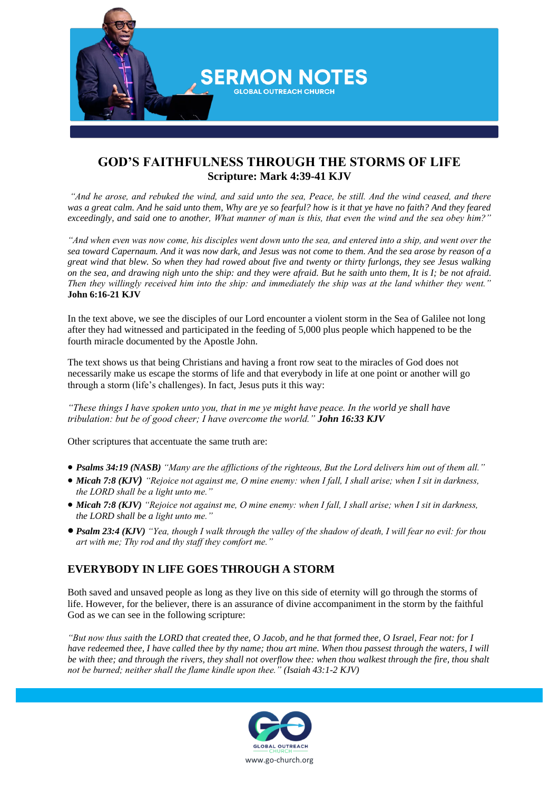

## **GOD'S FAITHFULNESS THROUGH THE STORMS OF LIFE Scripture: Mark 4:39-41 KJV**

*"And he arose, and rebuked the wind, and said unto the sea, Peace, be still. And the wind ceased, and there was a great calm. And he said unto them, Why are ye so fearful? how is it that ye have no faith? And they feared exceedingly, and said one to another, What manner of man is this, that even the wind and the sea obey him?"*

*"And when even was now come, his disciples went down unto the sea, and entered into a ship, and went over the sea toward Capernaum. And it was now dark, and Jesus was not come to them. And the sea arose by reason of a great wind that blew. So when they had rowed about five and twenty or thirty furlongs, they see Jesus walking on the sea, and drawing nigh unto the ship: and they were afraid. But he saith unto them, It is I; be not afraid. Then they willingly received him into the ship: and immediately the ship was at the land whither they went."* **John 6:16-21 KJV**

In the text above, we see the disciples of our Lord encounter a violent storm in the Sea of Galilee not long after they had witnessed and participated in the feeding of 5,000 plus people which happened to be the fourth miracle documented by the Apostle John.

The text shows us that being Christians and having a front row seat to the miracles of God does not necessarily make us escape the storms of life and that everybody in life at one point or another will go through a storm (life's challenges). In fact, Jesus puts it this way:

*"These things I have spoken unto you, that in me ye might have peace. In the world ye shall have tribulation: but be of good cheer; I have overcome the world." John 16:33 KJV*

Other scriptures that accentuate the same truth are:

- *Psalms 34:19 (NASB) "Many are the afflictions of the righteous, But the Lord delivers him out of them all."*
- *Micah 7:8 (KJV) "Rejoice not against me, O mine enemy: when I fall, I shall arise; when I sit in darkness, the LORD shall be a light unto me."*
- *Micah 7:8 (KJV) "Rejoice not against me, O mine enemy: when I fall, I shall arise; when I sit in darkness, the LORD shall be a light unto me."*
- *Psalm 23:4 (KJV) "Yea, though I walk through the valley of the shadow of death, I will fear no evil: for thou art with me; Thy rod and thy staff they comfort me."*

## **EVERYBODY IN LIFE GOES THROUGH A STORM**

Both saved and unsaved people as long as they live on this side of eternity will go through the storms of life. However, for the believer, there is an assurance of divine accompaniment in the storm by the faithful God as we can see in the following scripture:

*"But now thus saith the LORD that created thee, O Jacob, and he that formed thee, O Israel, Fear not: for I have redeemed thee, I have called thee by thy name; thou art mine. When thou passest through the waters, I will be with thee; and through the rivers, they shall not overflow thee: when thou walkest through the fire, thou shalt not be burned; neither shall the flame kindle upon thee." (Isaiah 43:1-2 KJV)*